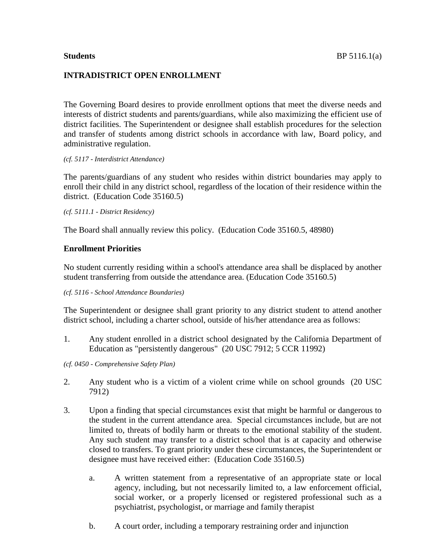# **INTRADISTRICT OPEN ENROLLMENT**

The Governing Board desires to provide enrollment options that meet the diverse needs and interests of district students and parents/guardians, while also maximizing the efficient use of district facilities. The Superintendent or designee shall establish procedures for the selection and transfer of students among district schools in accordance with law, Board policy, and administrative regulation.

## *(cf. 5117 - Interdistrict Attendance)*

The parents/guardians of any student who resides within district boundaries may apply to enroll their child in any district school, regardless of the location of their residence within the district. (Education Code 35160.5)

*(cf. 5111.1 - District Residency)*

The Board shall annually review this policy. (Education Code 35160.5, 48980)

# **Enrollment Priorities**

No student currently residing within a school's attendance area shall be displaced by another student transferring from outside the attendance area. (Education Code 35160.5)

## *(cf. 5116 - School Attendance Boundaries)*

The Superintendent or designee shall grant priority to any district student to attend another district school, including a charter school, outside of his/her attendance area as follows:

1. Any student enrolled in a district school designated by the California Department of Education as "persistently dangerous" (20 USC 7912; 5 CCR 11992)

*(cf. 0450 - Comprehensive Safety Plan)*

- 2. Any student who is a victim of a violent crime while on school grounds (20 USC 7912)
- 3. Upon a finding that special circumstances exist that might be harmful or dangerous to the student in the current attendance area. Special circumstances include, but are not limited to, threats of bodily harm or threats to the emotional stability of the student. Any such student may transfer to a district school that is at capacity and otherwise closed to transfers. To grant priority under these circumstances, the Superintendent or designee must have received either: (Education Code 35160.5)
	- a. A written statement from a representative of an appropriate state or local agency, including, but not necessarily limited to, a law enforcement official, social worker, or a properly licensed or registered professional such as a psychiatrist, psychologist, or marriage and family therapist
	- b. A court order, including a temporary restraining order and injunction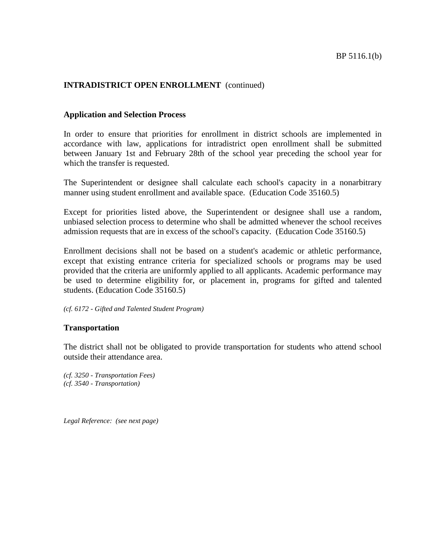## **Application and Selection Process**

In order to ensure that priorities for enrollment in district schools are implemented in accordance with law, applications for intradistrict open enrollment shall be submitted between January 1st and February 28th of the school year preceding the school year for which the transfer is requested.

The Superintendent or designee shall calculate each school's capacity in a nonarbitrary manner using student enrollment and available space. (Education Code 35160.5)

Except for priorities listed above, the Superintendent or designee shall use a random, unbiased selection process to determine who shall be admitted whenever the school receives admission requests that are in excess of the school's capacity. (Education Code 35160.5)

Enrollment decisions shall not be based on a student's academic or athletic performance, except that existing entrance criteria for specialized schools or programs may be used provided that the criteria are uniformly applied to all applicants. Academic performance may be used to determine eligibility for, or placement in, programs for gifted and talented students. (Education Code 35160.5)

### *(cf. 6172 - Gifted and Talented Student Program)*

## **Transportation**

The district shall not be obligated to provide transportation for students who attend school outside their attendance area.

*(cf. 3250 - Transportation Fees) (cf. 3540 - Transportation)*

*Legal Reference: (see next page)*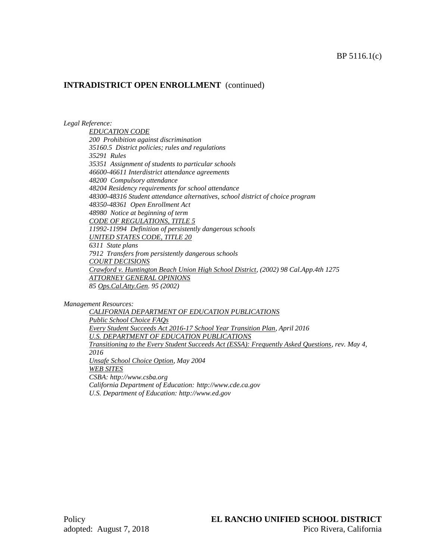### *Legal Reference:*

*EDUCATION CODE 200 Prohibition against discrimination 35160.5 District policies; rules and regulations 35291 Rules 35351 Assignment of students to particular schools 46600-46611 Interdistrict attendance agreements 48200 Compulsory attendance 48204 Residency requirements for school attendance 48300-48316 Student attendance alternatives, school district of choice program 48350-48361 Open Enrollment Act 48980 Notice at beginning of term CODE OF REGULATIONS, TITLE 5 11992-11994 Definition of persistently dangerous schools UNITED STATES CODE, TITLE 20 6311 State plans 7912 Transfers from persistently dangerous schools COURT DECISIONS Crawford v. Huntington Beach Union High School District, (2002) 98 Cal.App.4th 1275 ATTORNEY GENERAL OPINIONS 85 Ops.Cal.Atty.Gen. 95 (2002)*

*Management Resources:*

*CALIFORNIA DEPARTMENT OF EDUCATION PUBLICATIONS Public School Choice FAQs Every Student Succeeds Act 2016-17 School Year Transition Plan, April 2016 U.S. DEPARTMENT OF EDUCATION PUBLICATIONS Transitioning to the Every Student Succeeds Act (ESSA): Frequently Asked Questions, rev. May 4, 2016 Unsafe School Choice Option, May 2004 WEB SITES CSBA: http://www.csba.org California Department of Education: http://www.cde.ca.gov U.S. Department of Education: http://www.ed.gov*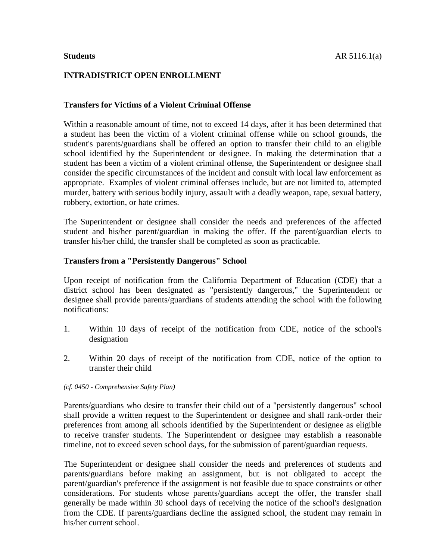# **INTRADISTRICT OPEN ENROLLMENT**

# **Transfers for Victims of a Violent Criminal Offense**

Within a reasonable amount of time, not to exceed 14 days, after it has been determined that a student has been the victim of a violent criminal offense while on school grounds, the student's parents/guardians shall be offered an option to transfer their child to an eligible school identified by the Superintendent or designee. In making the determination that a student has been a victim of a violent criminal offense, the Superintendent or designee shall consider the specific circumstances of the incident and consult with local law enforcement as appropriate. Examples of violent criminal offenses include, but are not limited to, attempted murder, battery with serious bodily injury, assault with a deadly weapon, rape, sexual battery, robbery, extortion, or hate crimes.

The Superintendent or designee shall consider the needs and preferences of the affected student and his/her parent/guardian in making the offer. If the parent/guardian elects to transfer his/her child, the transfer shall be completed as soon as practicable.

## **Transfers from a "Persistently Dangerous" School**

Upon receipt of notification from the California Department of Education (CDE) that a district school has been designated as "persistently dangerous," the Superintendent or designee shall provide parents/guardians of students attending the school with the following notifications:

- 1. Within 10 days of receipt of the notification from CDE, notice of the school's designation
- 2. Within 20 days of receipt of the notification from CDE, notice of the option to transfer their child

## *(cf. 0450 - Comprehensive Safety Plan)*

Parents/guardians who desire to transfer their child out of a "persistently dangerous" school shall provide a written request to the Superintendent or designee and shall rank-order their preferences from among all schools identified by the Superintendent or designee as eligible to receive transfer students. The Superintendent or designee may establish a reasonable timeline, not to exceed seven school days, for the submission of parent/guardian requests.

The Superintendent or designee shall consider the needs and preferences of students and parents/guardians before making an assignment, but is not obligated to accept the parent/guardian's preference if the assignment is not feasible due to space constraints or other considerations. For students whose parents/guardians accept the offer, the transfer shall generally be made within 30 school days of receiving the notice of the school's designation from the CDE. If parents/guardians decline the assigned school, the student may remain in his/her current school.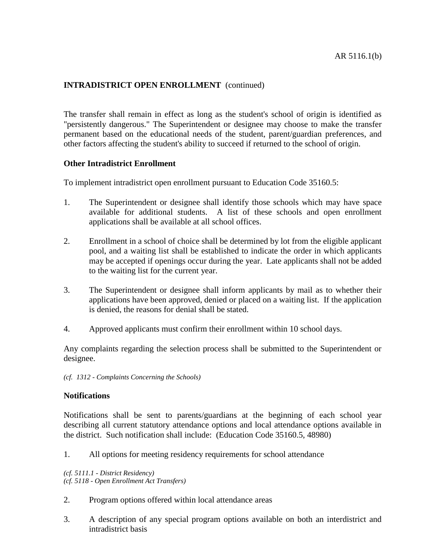The transfer shall remain in effect as long as the student's school of origin is identified as "persistently dangerous." The Superintendent or designee may choose to make the transfer permanent based on the educational needs of the student, parent/guardian preferences, and other factors affecting the student's ability to succeed if returned to the school of origin.

## **Other Intradistrict Enrollment**

To implement intradistrict open enrollment pursuant to Education Code 35160.5:

- 1. The Superintendent or designee shall identify those schools which may have space available for additional students. A list of these schools and open enrollment applications shall be available at all school offices.
- 2. Enrollment in a school of choice shall be determined by lot from the eligible applicant pool, and a waiting list shall be established to indicate the order in which applicants may be accepted if openings occur during the year. Late applicants shall not be added to the waiting list for the current year.
- 3. The Superintendent or designee shall inform applicants by mail as to whether their applications have been approved, denied or placed on a waiting list. If the application is denied, the reasons for denial shall be stated.
- 4. Approved applicants must confirm their enrollment within 10 school days.

Any complaints regarding the selection process shall be submitted to the Superintendent or designee.

*(cf. 1312 - Complaints Concerning the Schools)*

## **Notifications**

Notifications shall be sent to parents/guardians at the beginning of each school year describing all current statutory attendance options and local attendance options available in the district. Such notification shall include: (Education Code 35160.5, 48980)

1. All options for meeting residency requirements for school attendance

*(cf. 5111.1 - District Residency) (cf. 5118 - Open Enrollment Act Transfers)*

- 2. Program options offered within local attendance areas
- 3. A description of any special program options available on both an interdistrict and intradistrict basis